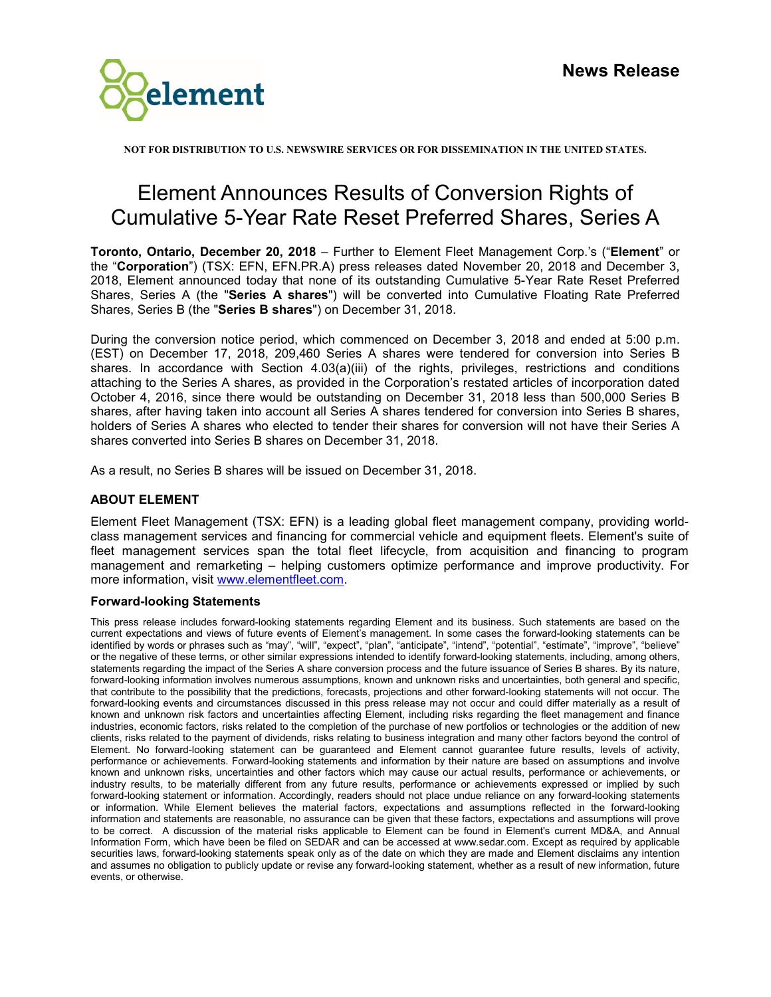

**NOT FOR DISTRIBUTION TO U.S. NEWSWIRE SERVICES OR FOR DISSEMINATION IN THE UNITED STATES.**

## Element Announces Results of Conversion Rights of Cumulative 5-Year Rate Reset Preferred Shares, Series A

**Toronto, Ontario, December 20, 2018** – Further to Element Fleet Management Corp.'s ("**Element**" or the "**Corporation**") (TSX: EFN, EFN.PR.A) press releases dated November 20, 2018 and December 3, 2018, Element announced today that none of its outstanding Cumulative 5-Year Rate Reset Preferred Shares, Series A (the "**Series A shares**") will be converted into Cumulative Floating Rate Preferred Shares, Series B (the "**Series B shares**") on December 31, 2018.

During the conversion notice period, which commenced on December 3, 2018 and ended at 5:00 p.m. (EST) on December 17, 2018, 209,460 Series A shares were tendered for conversion into Series B shares. In accordance with Section 4.03(a)(iii) of the rights, privileges, restrictions and conditions attaching to the Series A shares, as provided in the Corporation's restated articles of incorporation dated October 4, 2016, since there would be outstanding on December 31, 2018 less than 500,000 Series B shares, after having taken into account all Series A shares tendered for conversion into Series B shares, holders of Series A shares who elected to tender their shares for conversion will not have their Series A shares converted into Series B shares on December 31, 2018.

As a result, no Series B shares will be issued on December 31, 2018.

## **ABOUT ELEMENT**

Element Fleet Management (TSX: EFN) is a leading global fleet management company, providing worldclass management services and financing for commercial vehicle and equipment fleets. Element's suite of fleet management services span the total fleet lifecycle, from acquisition and financing to program management and remarketing – helping customers optimize performance and improve productivity. For more information, visit [www.elementfleet.com.](http://www.elementfleet.com/)

## **Forward-looking Statements**

This press release includes forward-looking statements regarding Element and its business. Such statements are based on the current expectations and views of future events of Element's management. In some cases the forward-looking statements can be identified by words or phrases such as "may", "will", "expect", "plan", "anticipate", "intend", "potential", "estimate", "improve", "believe" or the negative of these terms, or other similar expressions intended to identify forward-looking statements, including, among others, statements regarding the impact of the Series A share conversion process and the future issuance of Series B shares. By its nature, forward-looking information involves numerous assumptions, known and unknown risks and uncertainties, both general and specific, that contribute to the possibility that the predictions, forecasts, projections and other forward-looking statements will not occur. The forward-looking events and circumstances discussed in this press release may not occur and could differ materially as a result of known and unknown risk factors and uncertainties affecting Element, including risks regarding the fleet management and finance industries, economic factors, risks related to the completion of the purchase of new portfolios or technologies or the addition of new clients, risks related to the payment of dividends, risks relating to business integration and many other factors beyond the control of Element. No forward-looking statement can be guaranteed and Element cannot guarantee future results, levels of activity, performance or achievements. Forward-looking statements and information by their nature are based on assumptions and involve known and unknown risks, uncertainties and other factors which may cause our actual results, performance or achievements, or industry results, to be materially different from any future results, performance or achievements expressed or implied by such forward-looking statement or information. Accordingly, readers should not place undue reliance on any forward-looking statements or information. While Element believes the material factors, expectations and assumptions reflected in the forward-looking information and statements are reasonable, no assurance can be given that these factors, expectations and assumptions will prove to be correct. A discussion of the material risks applicable to Element can be found in Element's current MD&A, and Annual Information Form, which have been be filed on SEDAR and can be accessed at www.sedar.com. Except as required by applicable securities laws, forward-looking statements speak only as of the date on which they are made and Element disclaims any intention and assumes no obligation to publicly update or revise any forward-looking statement, whether as a result of new information, future events, or otherwise.